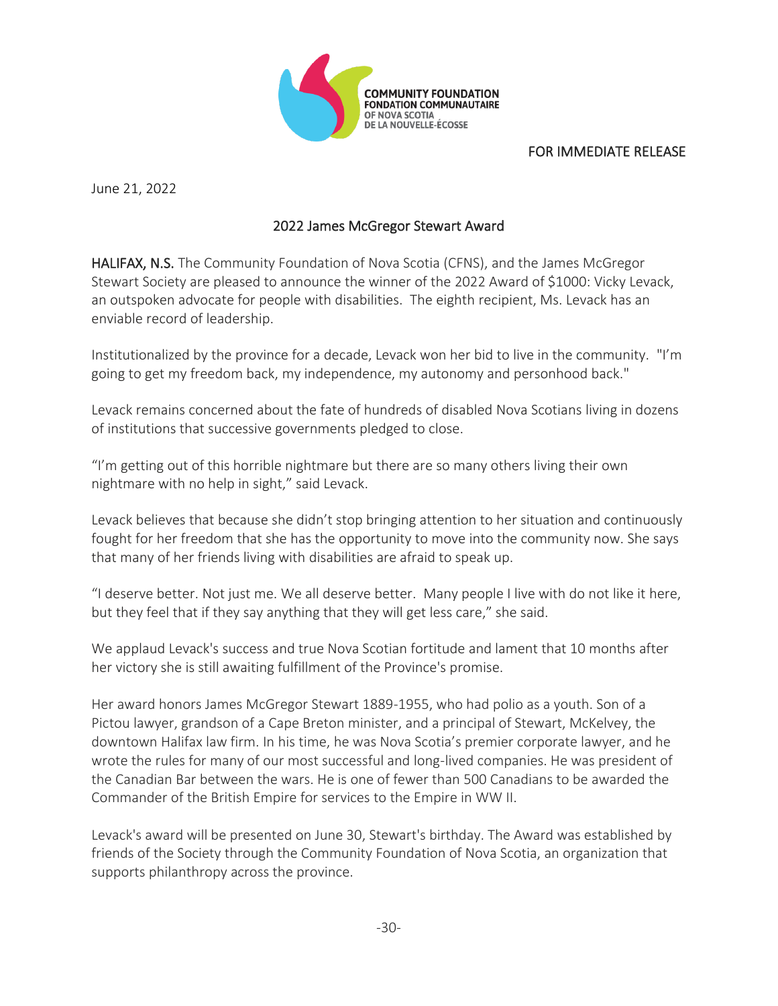

## FOR IMMEDIATE RELEASE

June 21, 2022

## 2022 James McGregor Stewart Award

HALIFAX, N.S. The Community Foundation of Nova Scotia (CFNS), and the James McGregor Stewart Society are pleased to announce the winner of the 2022 Award of \$1000: Vicky Levack, an outspoken advocate for people with disabilities. The eighth recipient, Ms. Levack has an enviable record of leadership.

Institutionalized by the province for a decade, Levack won her bid to live in the community. "I'm going to get my freedom back, my independence, my autonomy and personhood back."

Levack remains concerned about the fate of hundreds of disabled Nova Scotians living in dozens of institutions that successive governments pledged to close.

"I'm getting out of this horrible nightmare but there are so many others living their own nightmare with no help in sight," said Levack.

Levack believes that because she didn't stop bringing attention to her situation and continuously fought for her freedom that she has the opportunity to move into the community now. She says that many of her friends living with disabilities are afraid to speak up.

"I deserve better. Not just me. We all deserve better. Many people I live with do not like it here, but they feel that if they say anything that they will get less care," she said.

We applaud Levack's success and true Nova Scotian fortitude and lament that 10 months after her victory she is still awaiting fulfillment of the Province's promise.

Her award honors James McGregor Stewart 1889-1955, who had polio as a youth. Son of a Pictou lawyer, grandson of a Cape Breton minister, and a principal of Stewart, McKelvey, the downtown Halifax law firm. In his time, he was Nova Scotia's premier corporate lawyer, and he wrote the rules for many of our most successful and long-lived companies. He was president of the Canadian Bar between the wars. He is one of fewer than 500 Canadians to be awarded the Commander of the British Empire for services to the Empire in WW II.

Levack's award will be presented on June 30, Stewart's birthday. The Award was established by friends of the Society through the Community Foundation of Nova Scotia, an organization that supports philanthropy across the province.